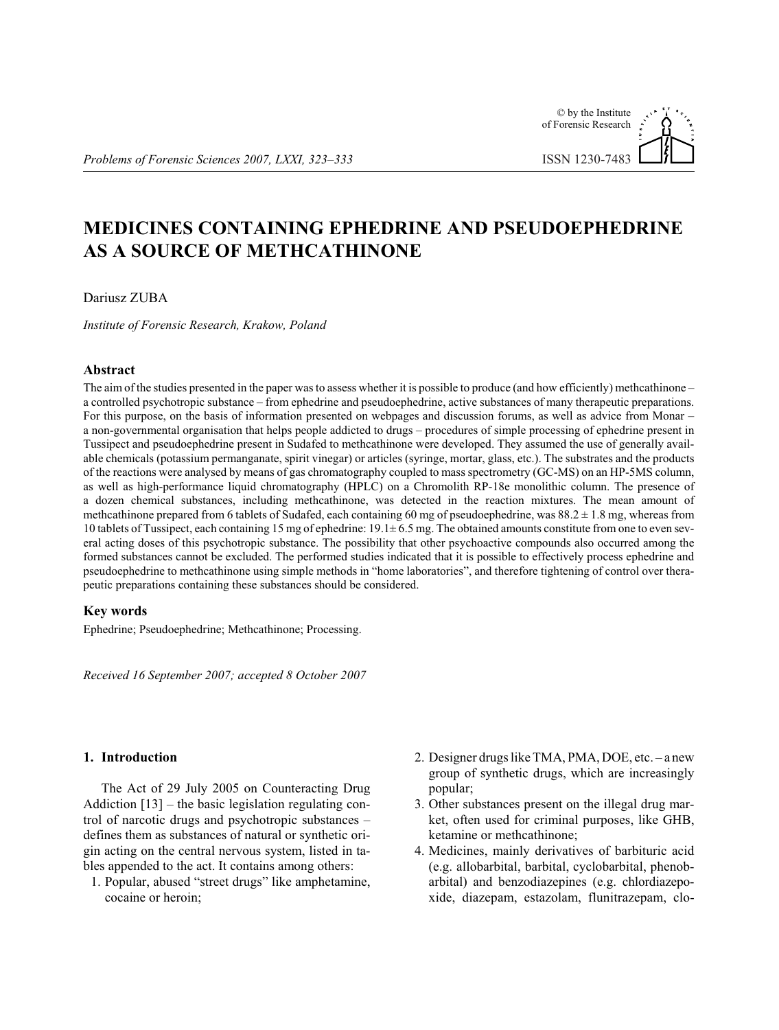# © by the Institute of Forensic Research **ISSN 1230-7483**

# **MEDICINES CONTAINING EPHEDRINE AND PSEUDOEPHEDRINE AS A SOURCE OF METHCATHINONE**

### Dariusz ZUBA

Institute of Forensic Research, Krakow, Poland

## **Abstract**

The aim of the studies presented in the paper was to assess whether it is possible to produce (and how efficiently) methcathinone – a controlled psychotropic substance – from ephedrine and pseudoephedrine, active substances of many therapeutic preparations. For this purpose, on the basis of information presented on webpages and discussion forums, as well as advice from Monar – a non-governmental organisation that helps people addicted to drugs – procedures of simple processing of ephedrine present in Tussipect and pseudoephedrine present in Sudafed to methcathinone were developed. They assumed the use of generally available chemicals (potassium permanganate, spirit vinegar) or articles (syringe, mortar, glass, etc.). The substrates and the products of the reactions were analysed by means of gas chromatography coupled to mass spectrometry (GC-MS) on an HP-5MS column, as well as high-performance liquid chromatography (HPLC) on a Chromolith RP-18e monolithic column. The presence of a dozen chemical substances, including methcathinone, was detected in the reaction mixtures. The mean amount of methcathinone prepared from 6 tablets of Sudafed, each containing 60 mg of pseudoephedrine, was  $88.2 \pm 1.8$  mg, whereas from 10 tablets of Tussipect, each containing 15 mg of ephedrine:  $19.1 \pm 6.5$  mg. The obtained amounts constitute from one to even several acting doses of this psychotropic substance. The possibility that other psychoactive compounds also occurred among the formed substances cannot be excluded. The performed studies indicated that it is possible to effectively process ephedrine and pseudoephedrine to methcathinone using simple methods in "home laboratories", and therefore tightening of control over therapeutic preparations containing these substances should be considered.

#### **Key words**

Ephedrine; Pseudoephedrine; Methcathinone; Processing.

Received 16 September 2007; accepted 8 October 2007

## 1. Introduction

The Act of 29 July 2005 on Counteracting Drug Addiction  $[13]$  – the basic legislation regulating control of narcotic drugs and psychotropic substances defines them as substances of natural or synthetic origin acting on the central nervous system, listed in tables appended to the act. It contains among others:

- 1. Popular, abused "street drugs" like amphetamine, cocaine or heroin;
- 2. Designer drugs like TMA, PMA, DOE, etc. a new group of synthetic drugs, which are increasingly popular:
- 3. Other substances present on the illegal drug market, often used for criminal purposes, like GHB, ketamine or methcathinone;
- 4. Medicines, mainly derivatives of barbituric acid (e.g. allobarbital, barbital, cyclobarbital, phenobarbital) and benzodiazepines (e.g. chlordiazepoxide, diazepam, estazolam, flunitrazepam, clo-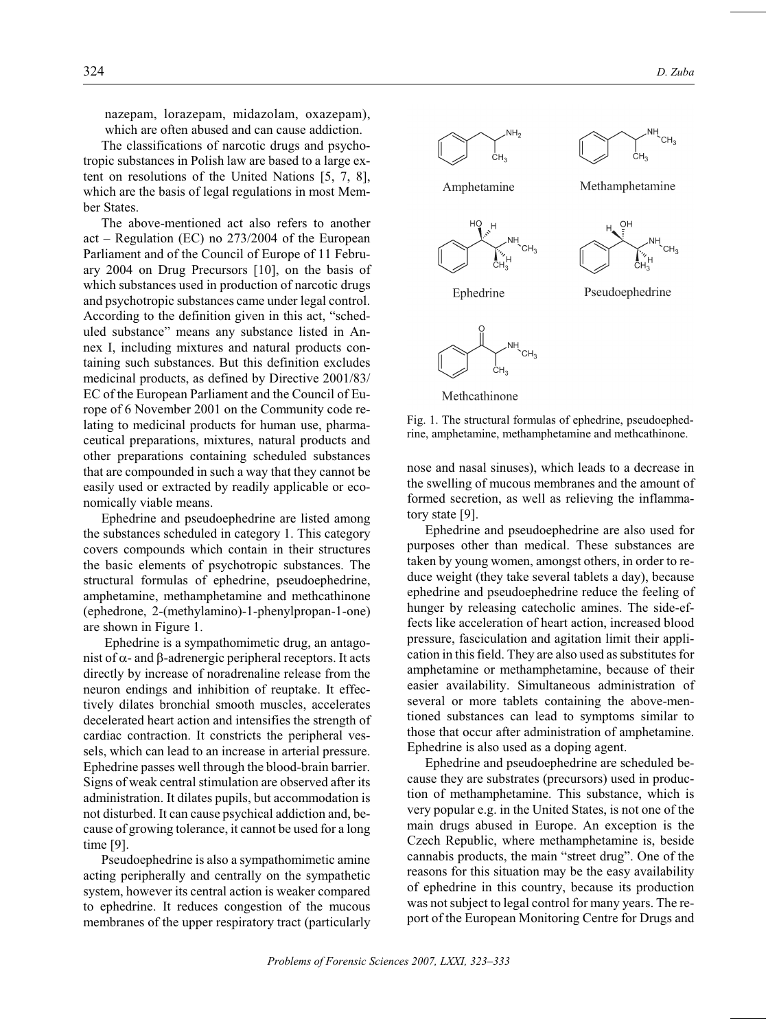na zepam, loraz epam, midazolam, oxaz epam), which are often abused and can cause addiction.

The classifications of narcotic drugs and psychotropic substances in Polish law are based to a large extent on resolutions of the United Nations  $[5, 7, 8]$ , which are the basis of legal regulations in most Member States.

The above-mentioned act also refers to another act – Regulation (EC) no  $273/2004$  of the European Parliament and of the Council of Europe of 11 February 2004 on Drug Precursors  $[10]$ , on the basis of which substances used in production of narcotic drugs and psychotropic substances came under legal control. According to the definition given in this act, "scheduled substance" means any substance listed in Annex I, including mixtures and natural products containing such substances. But this definition excludes medicinal products, as defined by Directive 2001/83/ EC of the European Parliament and the Council of Europe of 6 November 2001 on the Community code relating to medicinal products for human use, pharmaceutical preparations, mixtures, natural products and other preparations containing scheduled substances that are compounded in such a way that they cannot be easily used or extracted by readily applicable or economically viable means.

Ephedrine and pseudoephedrine are listed among the substances scheduled in category 1. This category covers compounds which contain in their structures the basic elements of psychotropic substances. The structural formulas of ephedrine, pseudoephedrine, amphetamine, methamphetamine and methcathinone (ephedrone, 2-(methylamino)-1-phenylpropan-1-one) are shown in Figure 1.

Ephedrine is a sympathomimetic drug, an antagonist of - and -adrenergic peripheral receptors. It acts directly by increase of noradrenaline release from the neuron endings and inhibition of reuptake. It effectively dilates bronchial smooth muscles, accelerates decelerated heart action and intensifies the strength of cardiac contraction. It constricts the peripheral vessels, which can lead to an increase in arterial pressure. Ephedrine passes well through the blood-brain barrier. Signs of weak central stimulation are observed after its administration. It dilates pupils, but accommodation is not disturbed. It can cause psychical addiction and, because of growing tolerance, it cannot be used for a long time [9].

Pseudoephedrine is also a sympathomimetic amine acting peripherally and centrally on the sympathetic system, however its central action is weaker compared to ephedrine. It reduces congestion of the mucous membranes of the upper respiratory tract (particularly



Methcathinone

Fig. 1. The structural formulas of ephedrine, pseudoephedrine, amphetamine, methamphetamine and methcathinone.

nose and nasal sinuses), which leads to a decrease in the swelling of mucous membranes and the amount of formed secretion, as well as relieving the inflammatory state [9].

Ephedrine and pseudoephedrine are also used for purposes other than medical. These substances are taken by young women, amongst others, in order to reduce weight (they take several tablets a day), because ephedrine and pseudoephedrine reduce the feeling of hunger by releasing catecholic amines. The side-effects like acceleration of heart action, increased blood pressure, fasciculation and agitation limit their application in this field. They are also used as substitutes for amphetamine or methamphetamine, because of their easier availability. Simultaneous administration of several or more tablets containing the above-mentioned substances can lead to symptoms similar to those that occur after administration of amphetamine. Ephedrine is also used as a doping agent.

Ephedrine and pseudoephedrine are scheduled because they are substrates (precursors) used in production of methamphetamine. This substance, which is very popular e.g. in the United States, is not one of the main drugs abused in Europe. An exception is the Czech Republic, where methamphetamine is, beside cannabis products, the main "street drug". One of the reasons for this situation may be the easy availability of ephedrine in this country, because its production was not subject to legal control for many years. The report of the European Monitoring Centre for Drugs and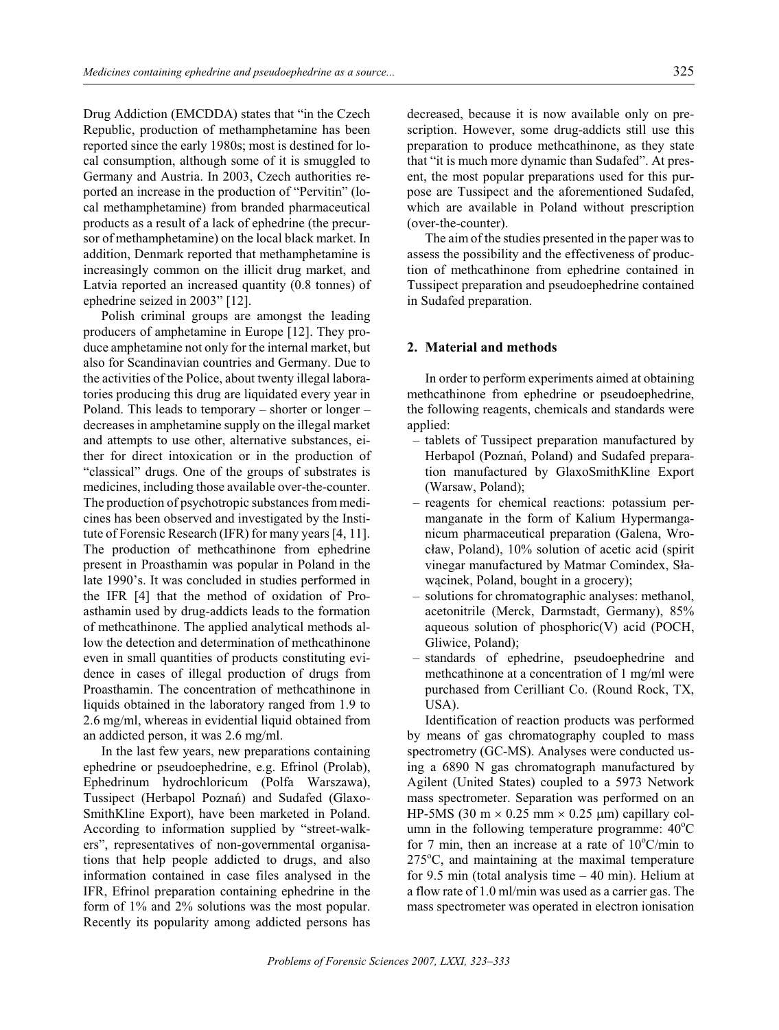Drug Addiction (EMCDDA) states that "in the Czech Republic, production of methamphetamine has been reported since the early 1980s; most is destined for local consumption, although some of it is smuggled to Germany and Austria. In 2003, Czech authorities reported an increase in the production of "Pervitin" (local methamphetamine) from branded pharmaceutical products as a result of a lack of ephedrine (the precursor of methamphetamine) on the local black market. In addition, Denmark reported that methamphetamine is increasingly common on the illicit drug market, and Latvia reported an increased quantity (0.8 tonnes) of ephedrine seized in  $2003"$  [12].

Polish criminal groups are amongst the leading producers of amphetamine in Europe [12]. They produce amphetamine not only for the internal market, but also for Scandinavian countries and Germany. Due to the activities of the Police, about twenty illegal laboratories producing this drug are liquidated every year in Poland. This leads to temporary – shorter or longer – decreases in amphetamine supply on the illegal market and attempts to use other, alternative substances, either for direct intoxication or in the production of "classical" drugs. One of the groups of substrates is medicines, including those available over-the-counter. The production of psychotropic substances from medicines has been observed and investigated by the Institute of Forensic Research (IFR) for many years [4, 11]. The production of methcathinone from ephedrine present in Proasthamin was popular in Poland in the late 1990's. It was concluded in studies performed in the IFR  $[4]$  that the method of oxidation of Proasthamin used by drug-addicts leads to the formation of methcathinone. The applied analytical methods allow the detection and determination of methcathinone even in small quantities of products constituting evidence in cases of illegal production of drugs from Proasthamin. The concentration of methcathinone in liquids obtained in the laboratory ranged from 1.9 to 2.6 mg/ml, whereas in evidential liquid obtained from an addicted person, it was 2.6 mg/ml.

In the last few years, new preparations containing ephedrine or pseudoephedrine, e.g. Efrinol (Prolab), Ephedrinum hydrochloricum (Polfa Warszawa), Tussipect (Herbapol Poznañ) and Sudafed (Glaxo-SmithKline Export), have been marketed in Poland. According to information supplied by "street-walkers", representatives of non-governmental organisations that help people addicted to drugs, and also information contained in case files analysed in the IFR, Efrinol preparation containing ephedrine in the form of  $1\%$  and  $2\%$  solutions was the most popular. Recently its popularity among addicted persons has decreased, because it is now available only on prescription. However, some drug-addicts still use this preparation to produce methcathinone, as they state that "it is much more dynamic than Sudafed". At present, the most popular preparations used for this purpose are Tussipect and the aforementioned Sudafed, which are available in Poland without prescription (over-the-counter).

The aim of the studies presented in the paper was to assess the possibility and the effectiveness of production of methcathinone from ephedrine contained in Tussipect preparation and pseudoephedrine contained in Sudafed preparation.

#### **2.** Material and methods

In order to perform experiments aimed at obtaining methcathinone from ephedrine or pseudoephedrine, the following reagents, chemicals and standards were applied:

- tablets of Tussipect preparation manufactured by Herbapol (Poznań, Poland) and Sudafed preparation manufactured by GlaxoSmithKline Export (Warsaw, Poland);
- reagents for chemical reactions: potassium permanganate in the form of Kalium Hypermanganicum pharmaceutical preparation (Galena, Wrocław, Poland),  $10\%$  solution of acetic acid (spirit vinegar manufactured by Matmar Comindex, Sławacinek, Poland, bought in a grocery);
- solutions for chromatographic analyses: methanol, acetonitrile (Merck, Darmstadt, Germany), 85% aque ous solution of phosphoric $(V)$  acid (POCH, Gliwice, Poland);
- standards of ephedrine, pseudoephedrine and methcathinone at a concentration of 1 mg/ml were pur chased from Cerilliant Co. (Round Rock, TX, USA).

Identification of reaction products was performed by means of gas chromatography coupled to mass spectrometry (GC-MS). Analyses were conducted using a  $6890$  N gas chromatograph manufactured by Agilent (United States) coupled to a 5973 Network mass spectrometer. Separation was performed on an HP-5MS (30 m  $0.25$  mm  $0.25$  m) capillary column in the following temperature programme:  $40^{\circ}$ C for 7 min, then an increase at a rate of  $10^{\circ}$ C/min to  $275^{\circ}$ C, and maintaining at the maximal temperature for 9.5 min (total analysis time  $-40$  min). Helium at a flow rate of 1.0 ml/min was used as a carrier gas. The mass spectrometer was operated in electron ionisation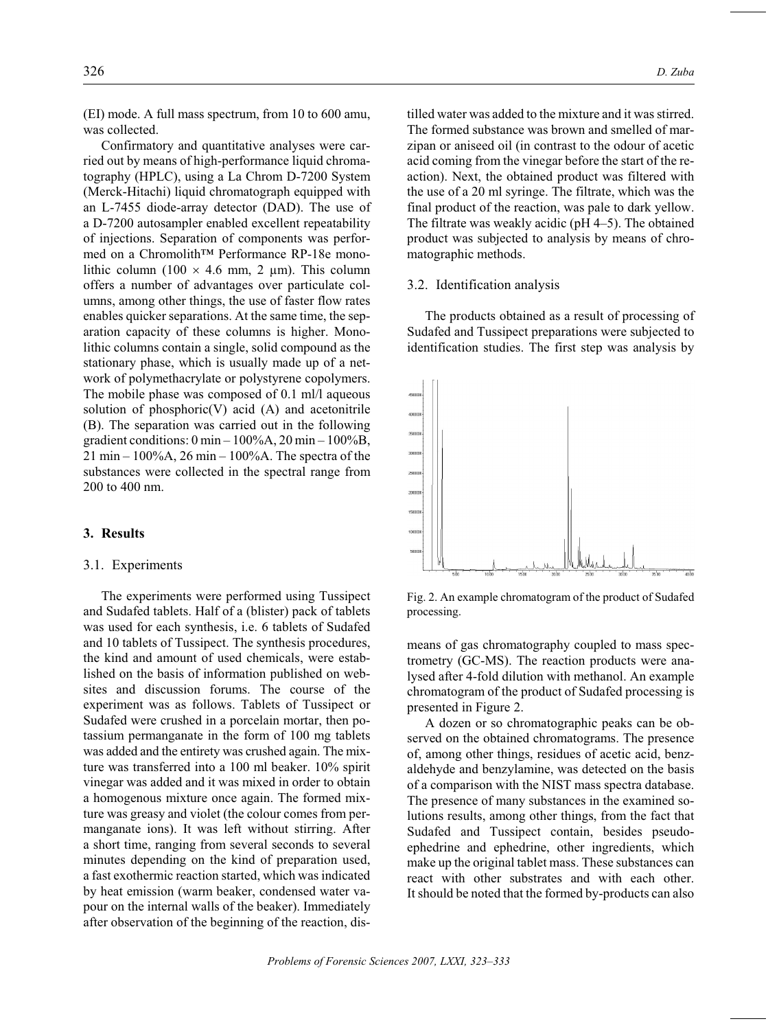(EI) mode. A full mass spectrum, from 10 to 600 amu, was collected.

Confirmatory and quantitative analyses were carried out by means of high-performance liquid chromatography (HPLC), using a La Chrom D-7200 System (Merck-Hitachi) liquid chromatograph equipped with an L-7455 diode-array detector (DAD). The use of a D-7200 autosampler enabled excellent repeatability of injections. Separation of components was performed on a Chromolith™ Performance RP-18e monolithic column (100 4.6 mm, 2  $\mu$ m). This column offers a number of advantages over particulate columns, among other things, the use of faster flow rates enables quicker separations. At the same time, the separation capacity of these columns is higher. Monolithic columns contain a single, solid compound as the stationary phase, which is usually made up of a network of polymethacrylate or polystyrene copolymers. The mobile phase was composed of 0.1 ml/l aqueous solution of phosphoric $(V)$  acid  $(A)$  and acetonitrile (B). The separation was carried out in the following gradient conditions:  $0 \text{ min} - 100\%$ A,  $20 \text{ min} - 100\%$ B,  $21 \text{ min} - 100\%$ A,  $26 \text{ min} - 100\%$ A. The spectra of the substances were collected in the spectral range from 200 to 400 nm.

## 3. Results

#### 3.1. Experiments

The experiments were performed using Tussipect and Sudafed tablets. Half of a (blister) pack of tablets was used for each synthesis, i.e. 6 tablets of Sudafed and 10 tablets of Tussipect. The synthesis procedures, the kind and amount of used chemicals, were established on the basis of information published on websites and discussion forums. The course of the experiment was as follows. Tablets of Tussipect or Sudafed were crushed in a porcelain mortar, then potassium permanganate in the form of 100 mg tablets was added and the entirety was crushed again. The mixture was transferred into a 100 ml beaker. 10% spirit vinegar was added and it was mixed in order to obtain a homogenous mixture once again. The formed mixture was greasy and violet (the colour comes from permanganate ions). It was left without stirring. After a short time, ranging from several seconds to several minutes depending on the kind of preparation used, a fast exothermic reaction started, which was indicated by heat emission (warm beaker, condensed water vapour on the internal walls of the beaker). Immediately after observation of the beginning of the reaction, distilled water was added to the mixture and it was stirred. The formed substance was brown and smelled of marzipan or aniseed oil (in contrast to the odour of acetic acid coming from the vinegar before the start of the reaction). Next, the obtained product was filtered with the use of a 20 ml syringe. The filtrate, which was the final product of the reaction, was pale to dark yellow. The filtrate was weakly acidic ( $pH$  4–5). The obtained product was subjected to analysis by means of chromatographic methods.

#### 3.2. Identification analysis

The products obtained as a result of processing of Sudafed and Tussipect preparations were subjected to identification studies. The first step was analysis by



Fig. 2. An example chromatogram of the product of Sudafed processing.

means of gas chromatography coupled to mass spectrometry (GC-MS). The reaction products were analysed after 4-fold dilution with methanol. An example chromatogram of the product of Sudafed processing is presented in Figure 2.

A dozen or so chromatographic peaks can be observed on the obtained chromatograms. The presence of, among other things, residues of acetic acid, benzaldehyde and benzylamine, was detected on the basis of a comparison with the NIST mass spectra database. The presence of many substances in the examined solutions results, among other things, from the fact that Sudafed and Tussipect contain, besides pseudoephedrine and ephedrine, other ingredients, which make up the original tablet mass. These substances can react with other substrates and with each other. It should be noted that the formed by-products can also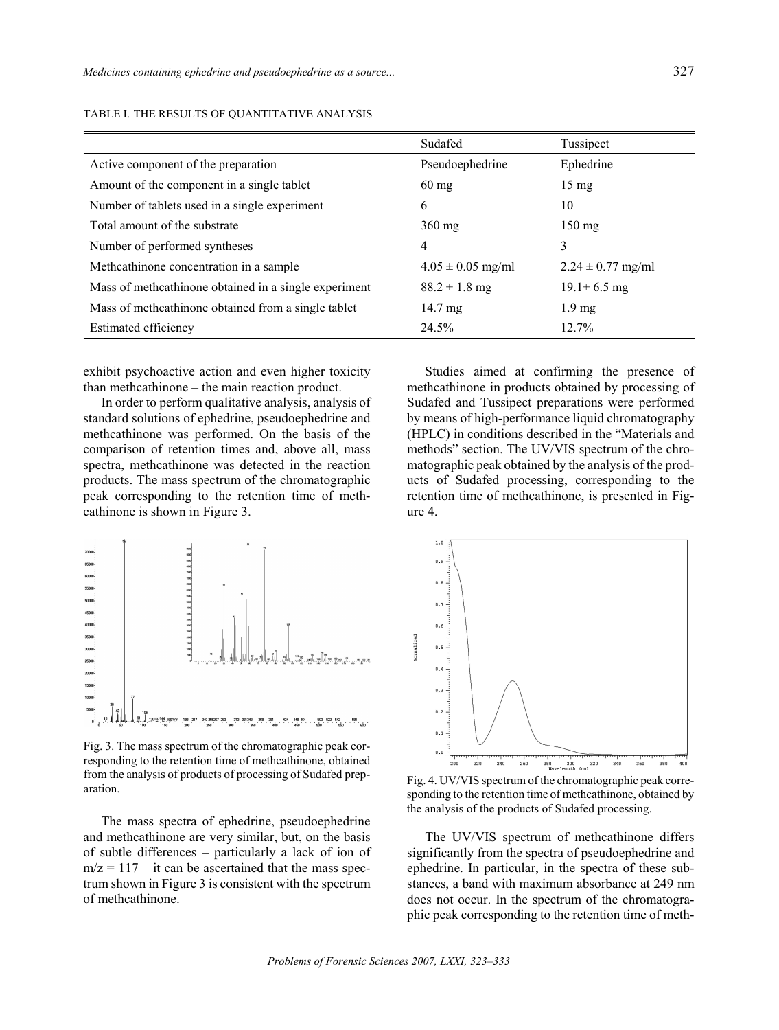|                                                       | Sudafed               | Tussipect             |
|-------------------------------------------------------|-----------------------|-----------------------|
| Active component of the preparation                   | Pseudoephedrine       | Ephedrine             |
| Amount of the component in a single tablet            | $60 \text{ mg}$       | $15 \text{ mg}$       |
| Number of tablets used in a single experiment         | 6                     | 10                    |
| Total amount of the substrate                         | $360$ mg              | $150 \text{ mg}$      |
| Number of performed syntheses                         | 4                     | 3                     |
| Methcathinone concentration in a sample               | $4.05 \pm 0.05$ mg/ml | $2.24 \pm 0.77$ mg/ml |
| Mass of methcathinone obtained in a single experiment | $88.2 \pm 1.8$ mg     | $19.1 \pm 6.5$ mg     |
| Mass of methcathinone obtained from a single tablet   | 14.7 mg               | $1.9 \text{ mg}$      |
| Estimated efficiency                                  | 24.5%                 | 12.7%                 |

TABLE I. THE RESULTS OF OUANTITATIVE ANALYSIS

exhibit psychoactive action and even higher toxicity than methcathinone  $-$  the main reaction product.

In order to perform qualitative analysis, analysis of standard solutions of ephedrine, pseudoephedrine and methcathinone was performed. On the basis of the comparison of retention times and, above all, mass spectra, methcathinone was detected in the reaction products. The mass spectrum of the chromatographic peak corresponding to the retention time of methcathinone is shown in Figure 3.



Fig. 3. The mass spectrum of the chromatographic peak corresponding to the retention time of methcathinone, obtained from the analysis of products of processing of Sudafed prep-Fig. 4. UV/VIS spectrum of the chromatographic peak corre-<br>aration.

The mass spectra of ephedrine, pseudoephedrine and methcathinone are very similar, but, on the basis of subtle differences – particularly a lack of ion of  $m/z = 117 - it$  can be ascertained that the mass spectrum shown in Figure 3 is consistent with the spectrum of methcathinone.

Studies aimed at confirming the presence of methcathinone in products obtained by processing of Sudafed and Tussipect preparations were performed by means of high-performance liquid chromatography (HPLC) in conditions described in the "Materials and methods" section. The UV/VIS spectrum of the chromatographic peak obtained by the analysis of the products of Sudafed processing, corresponding to the retention time of methcathinone, is presented in Figure 4.



sponding to the retention time of methcathinone, obtained by the analysis of the products of Sudafed processing.

The UV/VIS spectrum of methcathinone differs significantly from the spectra of pseudoephedrine and ephedrine. In particular, in the spectra of these substances, a band with maximum absorbance at 249 nm does not occur. In the spectrum of the chromatographic peak corresponding to the retention time of meth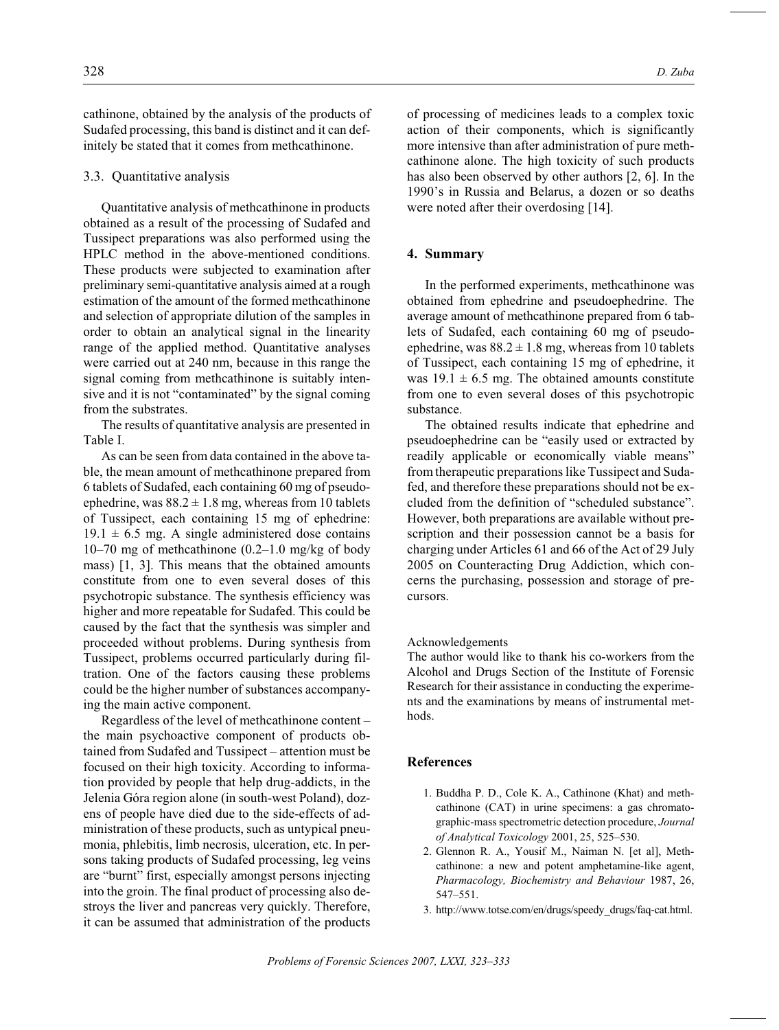cathinone, obtained by the analysis of the products of Sudafed processing, this band is distinct and it can definitely be stated that it comes from methcathinone.

#### 3.3. Quantitative analysis

Quantitative analysis of methcathinone in products obtained as a result of the processing of Sudafed and Tussipect preparations was also performed using the HPLC method in the above-mentioned conditions. These products were subjected to examination after preliminary semi-quantitative analysis aimed at a rough estimation of the amount of the formed methcathinone and selection of appropriate dilution of the samples in order to obtain an analytical signal in the linearity range of the applied method. Quantitative analyses were carried out at 240 nm, because in this range the signal coming from methcathinone is suitably intensive and it is not "contaminated" by the signal coming from the substrates.

The results of quantitative analysis are presented in Table I.

As can be seen from data contained in the above table, the mean amount of methcathinone prepared from 6 tablets of Sudafed, each containing 60 mg of pseudoephedrine, was  $88.2 \pm 1.8$  mg, whereas from 10 tablets of Tussipect, each containing 15 mg of ephedrine:  $19.1 \pm 6.5$  mg. A single administered dose contains 10–70 mg of methcathinone (0.2–1.0 mg/kg of body mass)  $[1, 3]$ . This means that the obtained amounts constitute from one to even several doses of this psychotropic substance. The synthesis efficiency was higher and more repeatable for Sudafed. This could be caused by the fact that the synthesis was simpler and proceeded without problems. During synthesis from Tussipect, problems occurred particularly during filtration. One of the factors causing these problems could be the higher number of substances accompanying the main active component.

Regardless of the level of methcathinone content – the main psychoactive component of products obtained from Sudafed and Tussipect – attention must be focused on their high toxicity. According to information provided by people that help drug-addicts, in the Jelenia Góra region alone (in south-west Poland), dozens of people have died due to the side-effects of administration of these products, such as untypical pneumonia, phlebitis, limb necrosis, ulceration, etc. In persons taking products of Sudafed processing, leg veins are "burnt" first, especially amongst persons injecting into the groin. The final product of processing also destroys the liver and pancreas very quickly. Therefore, it can be assumed that administration of the products of processing of medicines leads to a complex toxic action of their components, which is significantly more intensive than after administration of pure methcathinone alone. The high toxicity of such products has also been observed by other authors  $[2, 6]$ . In the 1990's in Russia and Belarus, a dozen or so deaths were noted after their overdosing [14].

### **4. Sum mary**

In the performed experiments, methcathinone was obtained from ephedrine and pseudoephedrine. The average amount of methcathinone prepared from 6 tablets of Sudafed, each containing 60 mg of pseudoephedrine, was  $88.2 \pm 1.8$  mg, whereas from 10 tablets of Tussipect, each containing 15 mg of ephedrine, it was  $19.1 \pm 6.5$  mg. The obtained amounts constitute from one to even several doses of this psychotropic substance.

The obtained results indicate that ephedrine and pseudoephedrine can be "easily used or extracted by readily applicable or economically viable means" from therapeutic preparations like Tussipect and Sudafed, and therefore these preparations should not be excluded from the definition of "scheduled substance". However, both preparations are available without prescription and their possession cannot be a basis for charging under Articles 61 and 66 of the Act of 29 July 2005 on Counteracting Drug Addiction, which concerns the purchasing, possession and storage of precursors.

#### Acknowledgements

The author would like to thank his co-workers from the Alcohol and Drugs Section of the Institute of Forensic Research for their assistance in conducting the experiments and the examinations by means of instrumental methods.

#### **References**

- 1. Buddha P. D., Cole K. A., Cathinone (Khat) and methcathinone (CAT) in urine specimens: a gas chromatographic-mass spectrometric detection procedure, *Journal of An a lyt i cal Tox i col ogy* 2001, 25, 525–530.
- 2. Glennon R. A., Yousif M., Naiman N. [et al], Methcathinone: a new and potent amphetamine-like agent, Pharmacology, Biochemistry and Behaviour 1987, 26, 547–551.
- 3. http://www.totse.com/en/drugs/speedy\_drugs/faq-cat.html.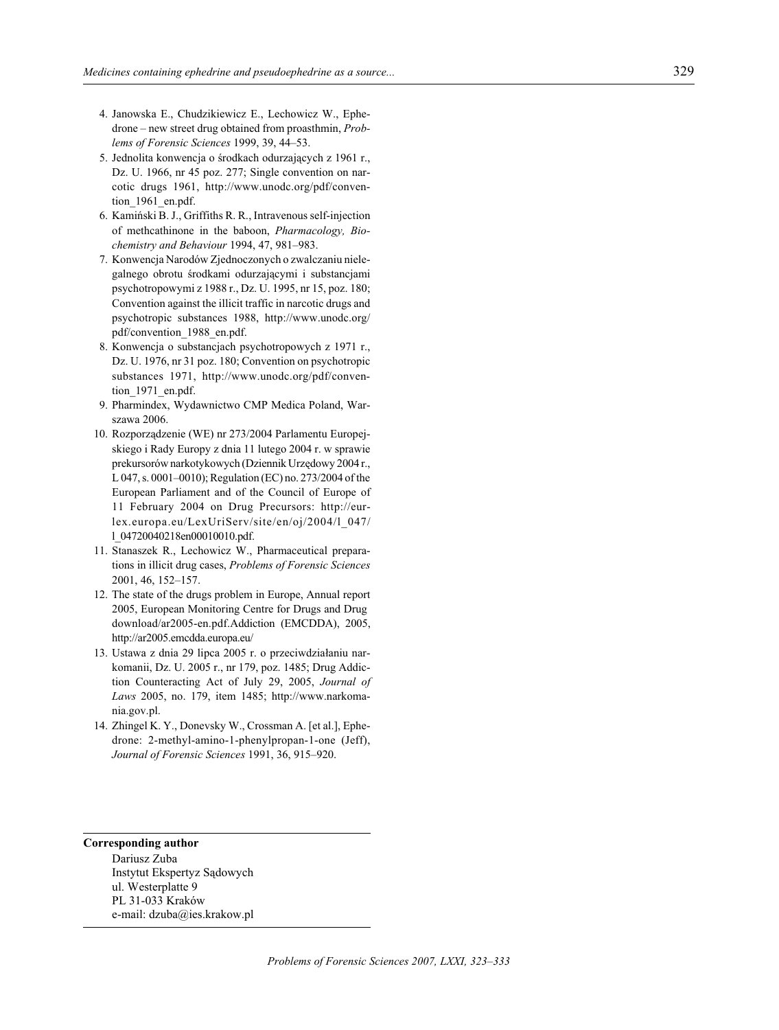- 4. Janowska E., Chudzikiewicz E., Lechowicz W., Ephedrone – new street drug obtained from proasthmin, *Problems of Forensic Sciences* 1999, 39, 44-53.
- 5. Jednolita konwencja o środkach odurzających z 1961 r., Dz. U. 1966, nr 45 poz. 277; Single convention on narcotic drugs 1961, http://www.unodc.org/pdf/convention 1961 en.pdf.
- 6. Kamiński B. J., Griffiths R. R., Intravenous self-injection of methcathinone in the baboon, *Pharmacology*, *Biochem is try and Be hav iour* 1994, 47, 981–983.
- 7. Konwencja Narodów Zjednoczonych o zwalczaniu niele galnego obrotu środkami odurzającymi i substancjami psychotropowymi z 1988 r., Dz. U. 1995, nr 15, poz. 180; Convention against the illicit traffic in narcotic drugs and psychotropic sub stances 1988, http://www.unodc.org/ pdf/convention 1988 en.pdf.
- 8. Konwencja o substancjach psychotropowych z 1971 r., Dz. U. 1976, nr 31 poz. 180; Convention on psychotropic substances 1971, http://www.unodc.org/pdf/convention 1971 en.pdf.
- 9. Pharmindex, Wydawnictwo CMP Medica Poland, Warszawa 2006.
- 10. Rozporządzenie (WE) nr 273/2004 Parlamentu Europejskiego i Rady Europy z dnia 11 lutego 2004 r. w sprawie prekursorów narkotykowych (Dziennik Urzêdowy 2004 r., L 047, s. 0001-0010); Regulation (EC) no. 273/2004 of the European Parliament and of the Council of Europe of 11 February 2004 on Drug Precursors: http://eurlex.europa.eu/LexUriServ/site/en/oj/2004/l\_047/ l\_04720040218en00010010.pdf.
- 11. Stanaszek R., Lechowicz W., Pharmaceutical preparations in illicit drug cases, *Problems of Forensic Sciences* 2001, 46, 152–157.
- 12. The state of the drugs problem in Europe, Annual report 2005, European Monitoring Centre for Drugs and Drug download/ar2005-en.pdf.Addiction (EMCDDA), 2005, http://ar2005.emcdda.europa.eu/
- 13. Ustawa z dnia 29 lipca 2005 r. o przeciwdziałaniu narkomanii, Dz. U. 2005 r., nr 179, poz. 1485; Drug Addiction Counteracting Act of July 29, 2005, *Journal of Laws* 2005, no. 179, item 1485; http://www.narkomania.gov.pl.
- 14. Zhingel K. Y., Donevsky W., Crossman A. [et al.], Ephedrone: 2-methyl-amino-1-phenylpropan-1-one (Jeff), *Jour nal of Fo ren sic Sci ences* 1991, 36, 915–920.

#### **Corresponding author**

Dariusz Zuba Instytut Ekspertyz Sądowych ul. Westerplatte 9 PL 31-033 Kraków e-mail: dzuba@ies.krakow.pl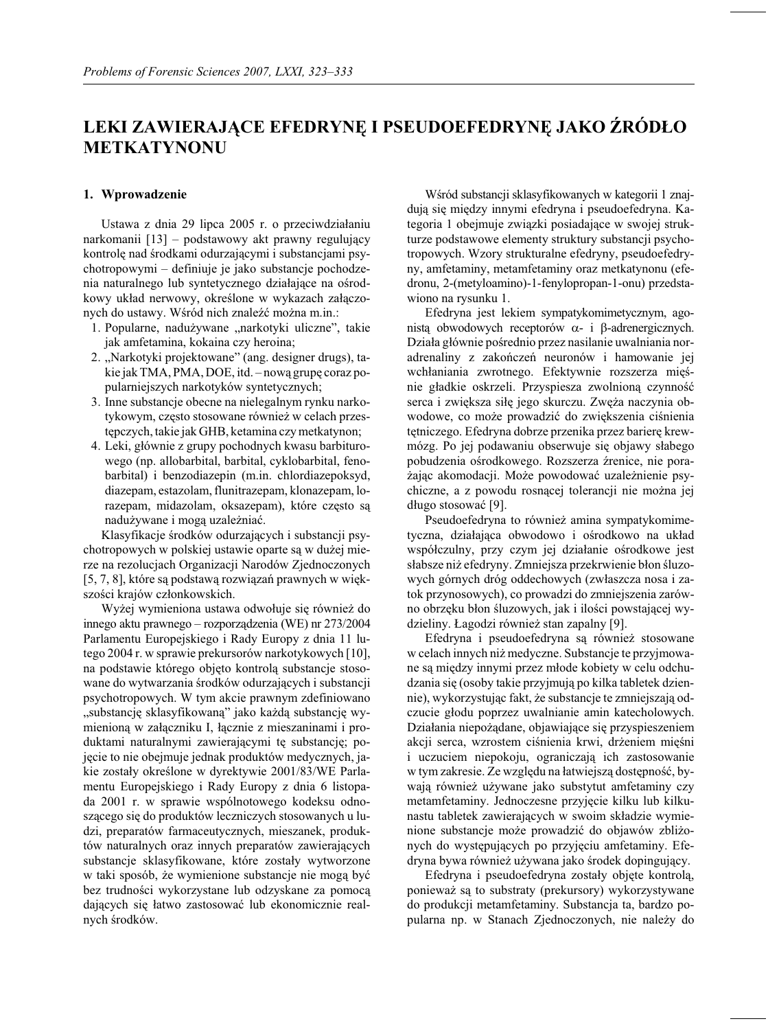# LEKI ZAWIERAJĄCE EFEDRYNĘ I PSEUDOEFEDRYNĘ JAKO ŹRÓDŁO **METKATYNONU**

#### **1. Wpro wad zenie**

Ustawa z dnia 29 lipca 2005 r. o przeciwdziałaniu nar komanii [13] – podstawowy akt prawny regulujący kontrolę nad środkami odurzającymi i substancjami psychotropowymi – definiuje je jako substancje pochodzenia naturalnego lub syntetycznego działające na ośrodkowy układ nerwowy, określone w wykazach załączonych do ustawy. Wśród nich znaleźć można m.in.:

- 1. Popularne, nadużywane "narkotyki uliczne", takie jak amfetamina, kokaina czy heroina;
- 2. "Narkotyki projektowane" (ang. designer drugs), takie jak TMA, PMA, DOE, itd. - nową grupę coraz popularniejszych narkotyków syntetycznych;
- 3. Inne substancje obecne na nielegalnym rynku narkotykowym, często stosowane również w celach przestępczych, takie jak GHB, ke tamina czy met katynon;
- 4. Leki, głównie z grupy pochodnych kwasu barbiturowego (np. allobarbital, barbital, cyklobarbital, fenobarbital) i benzodiazepin (m.in. chlordiazepoksyd, diazepam, estazolam, flunitrazepam, klonazepam, lorazepam, midazolam, oksazepam), które często są nadużywane i mogą uzależniać.

Klasyfikacje środków odurzających i substancji psychotropowych w polskiej ustawie oparte są w dużej mierze na rezolucjach Organizacji Narodów Zjednoczonych [5, 7, 8], które są podstawą rozwiązań prawnych w większości krajów członkowskich.

Wyżej wymieniona ustawa odwołuje się również do innego aktu prawnego – rozporządzenia (WE) nr 273/2004 Parlamentu Europejskiego i Rady Europy z dnia 11 lutego 2004 r. w sprawie prekursorów narkotykowych [10], na podstawie którego objęto kontrolą substancje stosowane do wytwarzania środków odurzających i substancji psychotropowych. W tym akcie prawnym zdefiniowano "substancję sklasyfikowaną" jako każdą substancję wymieniona w załaczniku I, łacznie z mieszaninami i produktami naturalnymi zawierającymi tę substancję; pojęcie to nie obejmuje jednak produktów medycznych, jakie zostały określone w dyrektywie 2001/83/WE Parlamentu Europejskiego i Rady Europy z dnia 6 listopada 2001 r. w sprawie wspólnotowego kodeksu odnoszącego się do produktów leczniczych stosowanych u ludzi, preparatów farmaceutycznych, mieszanek, produktów naturalnych oraz innych preparatów zawierających substancje sklasyfikowane, które zostały wytworzone w taki sposób, że wymienione substancje nie mogą być bez trudności wykorzystane lub odzyskane za pomocą dających się łatwo zastosować lub ekonomicznie realnych środków.

Wśród substancji sklasyfikowanych w kategorii 1 znajdują się między innymi efedryna i pseudoefedryna. Kategoria 1 obejmuje związki posiadające w swojej strukturze podstawowe elementy struktury substancji psychotropowych. Wzory strukturalne efedryny, pseudoefedryny, amfetaminy, metamfetaminy oraz metkatynonu (efedronu, 2-(metyloamino)-1-fenylopropan-1-onu) przedstawiono na rysunku 1.

Efedryna jest lekiem sympatykomimetycznym, agonistą obwodowych receptorów - i -adrenergicznych. Działa głównie pośrednio przez nasilanie uwalniania noradrenaliny z zakończeń neuronów i hamowanie jej wchłaniania zwrotnego. Efektywnie rozszerza mięśnie gładkie oskrzeli. Przyspiesza zwolnioną czynność serca i zwiększa siłę jego skurczu. Zwęża naczynia obwodowe, co może prowadzić do zwiększenia ciśnienia tętniczego. Efedryna dobrze przenika przez barierę krewmózg. Po jej podawaniu obserwuje się objawy słabego pobudzenia ośrodkowego. Rozszerza źrenice, nie porażając akomodacji. Może powodować uzależnienie psychiczne, a z powodu rosnącej tolerancji nie można jej długo stosować [9].

Pseudoefedryna to również amina sympatykomimetyczna, działająca obwodowo i ośrodkowo na układ współczulny, przy czym jej działanie ośrodkowe jest słabsze niż efedryny. Zmniejsza przekrwienie błon śluzowych górnych dróg oddechowych (zwłaszcza nosa i zatok przynosowych), co prowadzi do zmniejszenia zarówno obrzęku błon śluzowych, jak i ilości powstającej wydzieliny. Łagodzi również stan zapalny [9].

Efedryna i pseudoefedryna są również stosowane w celach innych niż medyczne. Substancje te przyjmowane są między innymi przez młode kobiety w celu odchudzania się (osoby takie przyjmują po kilka tabletek dziennie), wykorzystując fakt, że substancje te zmniej szają odczucie głodu poprzez uwalnianie amin katecholowych. Działania niepożądane, objawiające się przyspieszeniem akcji serca, wzrostem ciśnienia krwi, drżeniem mięśni i uczuciem niepokoju, ograniczają ich zastosowanie w tym zakresie. Ze względu na łatwiejszą dostępność, bywają również używane jako substytut amfetaminy czy metamfetaminy. Jednoczesne przyjęcie kilku lub kilkunastu tabletek zawierających w swoim składzie wymienione substancje może prowadzić do objawów zbliżonych do występujących po przyjęciu amfetaminy. Efedryna bywa również używana jako środek dopingujący.

Efedryna i pseudoefedryna zostały objęte kontrolą, ponieważ są to substraty (prekursory) wykorzystywane do produkcji metamfetaminy. Substancja ta, bardzo popularna np. w Stanach Zjednoczonych, nie należy do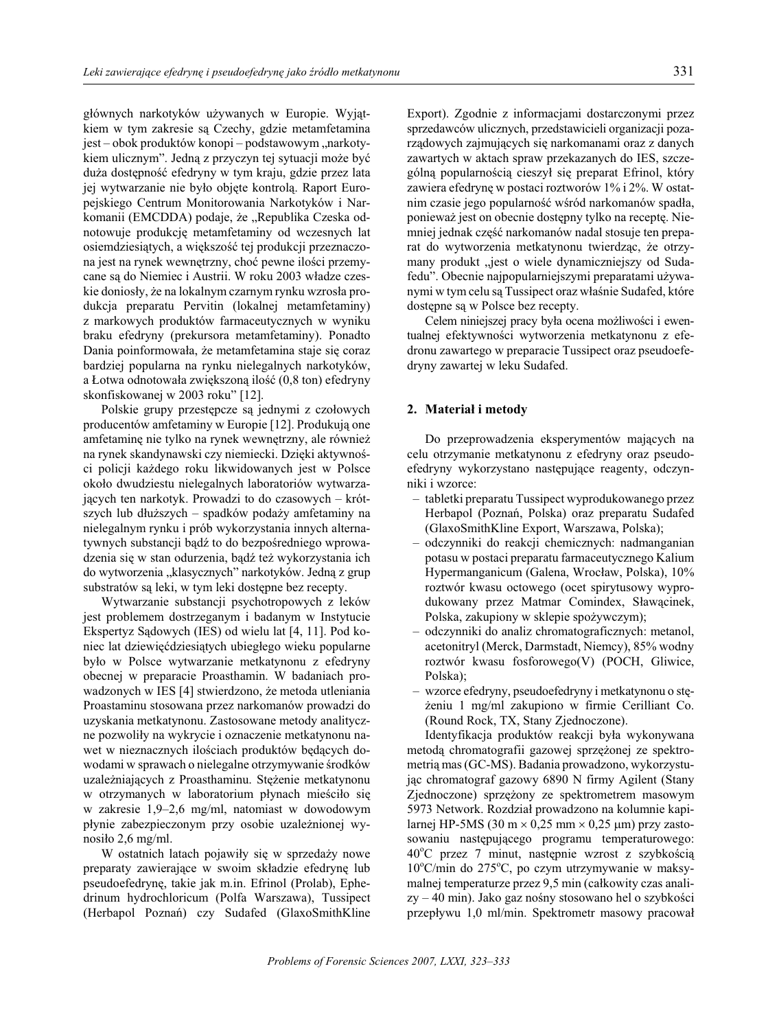głównych narkotyków używanych w Europie. Wyjątkiem w tym zakresie są Czechy, gdzie metamfetamina jest – obok produktów konopi – podstawowym "narkotykiem ulicznym". Jedną z przyczyn tej sytuacji może być duża dostępność efedryny w tym kraju, gdzie przez lata jej wytwarzanie nie było objęte kontrola. Raport Europejskiego Centrum Monitorowania Narkotyków i Narkomanii (EMCDDA) podaje, że "Republika Czeska odnotowuje produkcję metamfetaminy od wczesnych lat osiemdziesiątych, a większość tej produkcji przeznaczona jest na rynek wewnętrzny, choć pewne ilości przemycane sa do Niemiec i Austrii. W roku 2003 władze czeskie doniosły, że na lokalnym czarnym rynku wzrosła produkcja preparatu Pervitin (lokalnej metamfetaminy) z markowych produktów farmaceutycznych w wyniku braku efedryny (prekursora metamfetaminy). Ponadto Dania poinformowała, że metamfetamina staje się coraz bardziej popularna na rynku nielegalnych narkotyków, a Łotwa odnotowała zwiększoną ilość (0,8 ton) efedryny skon fiskowanej w 2003 roku" [12].

Polskie grupy przestępcze są jednymi z czołowych producentów amfetaminy w Europie [12]. Produkują one amfetaminę nie tylko na rynek wewnętrzny, ale również na rynek skandynawski czy niemiecki. Dzięki aktywności policji każdego roku likwidowanych jest w Polsce około dwudziestu nielegalnych laboratoriów wytwarzających ten narkotyk. Prowadzi to do czasowych – krótszych lub dłuższych – spadków podaży amfetaminy na nie legalnym rynku i prób wykorzystania innych alternatywnych substancji bądź to do bezpośredniego wprowadzenia się w stan odurzenia, bądź też wykorzystania ich do wytworzenia "klasycznych" narkotyków. Jedną z grup sub stratów są leki, w tym leki dostępne bez recepty.

Wytwarzanie substancji psychotropowych z leków jest problemem dostrzeganym i badanym w Instytucie Ekspertyz Sądowych (IES) od wielu lat [4, 11]. Pod koniec lat dziewięćdziesiątych ubiegłego wieku popularne było w Polsce wytwarzanie metkatynonu z efedryny obecnej w preparacie Proasthamin. W badaniach prowadzonych w IES [4] stwierdzono, że metoda utleniania Proastaminu stosowana przez narkomanów prowadzi do uzyskania metkatynonu. Zastosowane metody analityczne pozwoliły na wykrycie i oznaczenie metkatynonu nawet w nieznacznych ilościach produktów będących dowodami w sprawach o nielegalne otrzymywanie środków uzależniajacych z Proasthaminu. Stężenie metkatynonu w otrzymanych w laboratorium płynach mieściło się w zakresie 1,9–2,6 mg/ml, natomiast w dowodowym płynie zabezpieczonym przy osobie uzależnionej wynosiło 2,6 mg/ml.

W ostatnich latach pojawiły się w sprzedaży nowe preparaty zawierające w swoim składzie efedryne lub pseudoefedrynę, takie jak m.in. Efrinol (Prolab), Ephedrinum hydrochloricum (Polfa Warszawa), Tussipect (Herbapol Poznań) czy Sudafed (Glaxo Smith Kline Export). Zgodnie z informacjami dostarczonymi przez sprzedawców ulicznych, przedstawicieli organizacji pozarządowych zajmujących się narkomanami oraz z danych zawartych w aktach spraw przekazanych do IES, szczególną popularnością cieszył się preparat Efrinol, który zawiera efedrynę w postaci roztworów 1% i 2%. W ostatnim czasie jego popularność wśród narkomanów spadła, ponieważ jest on obecnie dostępny tylko na receptę. Niemniej jednak część narkomanów nadal stosuje ten preparat do wytworzenia metkatynonu twierdząc, że otrzymany produkt "jest o wiele dynamiczniejszy od Sudafedu". Obecnie najpopularniejszymi preparatami używanymi w tym celu są Tussipect oraz właśnie Sudafed, które do stepne są w Pol sce bez recepty.

Celem niniejszej pracy była ocena możliwości i ewentualnej efektywności wytworzenia metkatynonu z efedronu zawartego w preparacie Tussipect oraz pseudoefedryny zawartej w leku Sudafed.

### **2. Ma ter ia³ i me tody**

Do przeprowadzenia eksperymentów mających na celu otrzymanie metkatynonu z efedryny oraz pseudoefedryny wykorzystano następujące reagenty, odczynniki i wzorce:

- tabletki preparatu Tussipect wyprodukowanego przez Herbapol (Poznañ, Polska) oraz preparatu Sudafed (GlaxoSmithKline Export, Warszawa, Polska);
- odczynniki do reakcji chemicznych: nadmanganian potasu w postaci preparatu farmaceutycznego Kalium Hypermanganicum (Galena, Wrocław, Polska), 10% roztwór kwasu octowego (ocet spirytusowy wyprodukowany przez Matmar Comindex, Sławącinek, Polska, zakupiony w sklepie spożywczym);
- odczynniki do analiz chromatograficznych: metanol, acetonitryl (Merck, Darmstadt, Niemcy), 85% wodny roztwór kwasu fosforowego(V) (POCH, Gliwice, Polska);
- wzorce efedryny, pseudoefedryny i metkatynonu o stê- ¿eniu 1 mg/ml zakupiono w firmie Cerilliant Co. (Round Rock, TX, Stany Zjednoczone).

Identyfikacja produktów reakcji była wykonywana metodą chromatografii gazowej sprzężonej ze spektrometrią mas (GC-MS). Badania prowadzono, wykorzystując chromatograf gazowy 6890 N firmy Agilent (Stany Zjednoczone) sprzężony ze spektrometrem masowym 5973 Network. Rozdział prowadzono na kolumnie kapilarnej HP-5MS (30 m  $0,25$  mm  $0,25$  m) przy zastosowaniu na stępującego programu temperaturowego: 40°C przez 7 minut, następnie wzrost z szybkością  $10^{\circ}$ C/min do 275 $^{\circ}$ C, po czym utrzymywanie w maksymalnej temperaturze przez 9,5 min (całkowity czas anali $zy - 40$  min). Jako gaz nośny stosowano hel o szybkości przepływu 1,0 ml/min. Spektrometr masowy pracował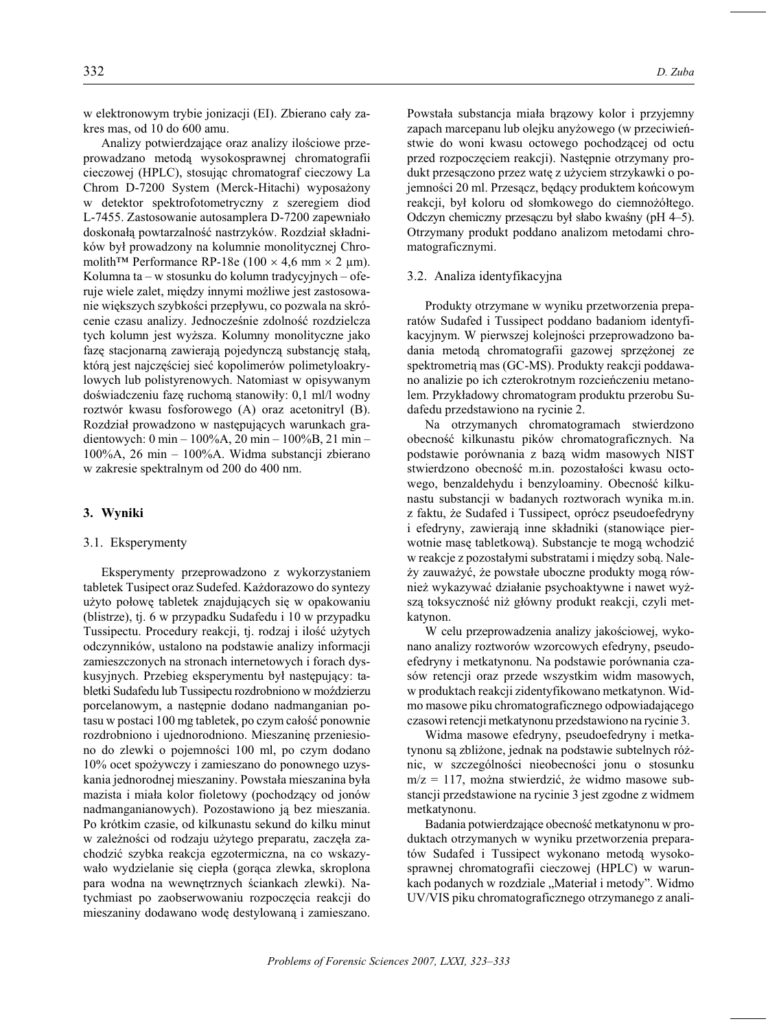w elektronowym trybie jonizacji (EI). Zbierano cały zakres mas, od 10 do 600 amu.

Analizy potwierdzające oraz analizy ilościowe przeprowadzano metodą wysokosprawnej chromatografii cieczowej (HPLC), stosując chromatograf cieczowy La Chrom D-7200 System (Merck-Hitachi) wyposażony w detektor spektrofotometryczny z szeregiem diod L-7455. Zastosowanie autosamplera D-7200 zapewniało doskonałą powtarzalność nastrzyków. Rozdział składników był prowadzony na kolumnie monolitycznej Chromolith<sup>TM</sup> Performance RP-18e (100 4,6 mm 2 µm). Kolumna ta – w stosunku do kolumn tradycyjnych – oferuje wiele zalet, między innymi możliwe jest zastosowanie większych szybkości przepływu, co pozwala na skrócenie czasu analizy. Jednocześnie zdolność rozdzielcza tych kolumn jest wyższa. Kolumny monolityczne jako fazę stacjonarną zawierają pojedynczą substancję stałą, którą jest najczęściej sieć kopolimerów polimetyloakrylowych lub polistyrenowych. Natomiast w opisywanym doświadczeniu fazę ruchomą stanowiły: 0,1 ml/l wodny roztwór kwasu fosforowego (A) oraz acetonitryl (B). Rozdział prowadzono w następujących warunkach gradientowych: 0 min - 100%A, 20 min - 100%B, 21 min -100%A, 26 min - 100%A. Widma substancji zbierano w zakresie spektralnym od 200 do 400 nm.

#### 3. Wyniki

#### 3.1. Eksperymenty

Eksperymenty przeprowadzono z wykorzystaniem tabletek Tusipect oraz Sudefed. Każdorazowo do syntezy użyto połowę tabletek znajdujących się w opakowaniu (blistrze), tj. 6 w przypadku Sudafedu i 10 w przypadku Tussipectu. Procedury reakcji, tj. rodzaj i ilość użytych odczynników, ustalono na podstawie analizy informacji zamieszczonych na stronach internetowych i forach dyskusyjnych. Przebieg eksperymentu był następujący: tabletki Sudafedu lub Tussipectu rozdrobniono w moździerzu porcelanowym, a następnie dodano nadmanganian potasu w postaci 100 mg tabletek, po czym całość ponownie rozdrobniono i ujednorodniono. Mieszaninę przeniesiono do zlewki o pojemności 100 ml, po czym dodano 10% ocet spożywczy i zamieszano do ponownego uzyskania jednorodnej mieszaniny. Powstała mieszanina była mazista i miała kolor fioletowy (pochodzący od jonów nadmanganianowych). Pozostawiono ją bez mieszania. Po krótkim czasie, od kilkunastu sekund do kilku minut w zależności od rodzaju użytego preparatu, zaczęła zachodzić szybka reakcja egzotermiczna, na co wskazywało wydzielanie się ciepła (gorąca zlewka, skroplona para wodna na wewnętrznych ściankach zlewki). Natychmiast po zaobserwowaniu rozpoczęcia reakcji do mieszaniny dodawano wodę destylowaną i zamieszano.

Powstała substancja miała brązowy kolor i przyjemny zapach marcepanu lub olejku anyżowego (w przeciwieństwie do woni kwasu octowego pochodzącej od octu przed rozpoczęciem reakcji). Następnie otrzymany produkt przesączono przez watę z użyciem strzykawki o pojemności 20 ml. Przesacz, będący produktem końcowym reakcji, był koloru od słomkowego do ciemnożółtego. Odczyn chemiczny przesączu był słabo kwaśny (pH 4–5). Otrzymany produkt poddano analizom metodami chromatograficznymi.

#### 3.2. Analiza identyfikacyjna

Produkty otrzymane w wyniku przetworzenia preparatów Sudafed i Tussipect poddano badaniom identyfikacyjnym. W pierwszej kolejności przeprowadzono badania metodą chromatografii gazowej sprzężonej ze spektrometrią mas (GC-MS). Produkty reakcji poddawano analizie po ich czterokrotnym rozcieńczeniu metanolem. Przykładowy chromatogram produktu przerobu Sudafedu przedstawiono na rycinie 2.

Na otrzymanych chromatogramach stwierdzono obecność kilkunastu pików chromatograficznych. Na podstawie porównania z bazą widm masowych NIST stwierdzono obecność m.in. pozostałości kwasu octowego, benzaldehydu i benzyloaminy. Obecność kilkunastu substancji w badanych roztworach wynika m.in. z faktu, że Sudafed i Tussipect, oprócz pseudoefedryny i efedryny, zawierają inne składniki (stanowiące pierwotnie masę tabletkową). Substancje te mogą wchodzić w reakcje z pozostałymi substratami i między sobą. Należy zauważyć, że powstałe uboczne produkty mogą również wykazywać działanie psychoaktywne i nawet wyższą toksyczność niż główny produkt reakcji, czyli metkatynon.

W celu przeprowadzenia analizy jakościowej, wykonano analizy roztworów wzorcowych efedryny, pseudoefedryny i metkatynonu. Na podstawie porównania czasów retencji oraz przede wszystkim widm masowych, w produktach reakcji zidentyfikowano metkatynon. Widmo masowe piku chromatograficznego odpowiadającego czasowi retencji metkatynonu przedstawiono na rycinie 3.

Widma masowe efedryny, pseudoefedryny i metkatynonu są zbliżone, jednak na podstawie subtelnych różnic, w szczególności nieobecności jonu o stosunku  $m/z = 117$ , można stwierdzić, że widmo masowe substancji przedstawione na rycinie 3 jest zgodne z widmem metkatynonu.

Badania potwierdzające obecność metkatynonu w produktach otrzymanych w wyniku przetworzenia preparatów Sudafed i Tussipect wykonano metodą wysokosprawnej chromatografii cieczowej (HPLC) w warunkach podanych w rozdziale "Materiał i metody". Widmo UV/VIS piku chromatograficznego otrzymanego z anali